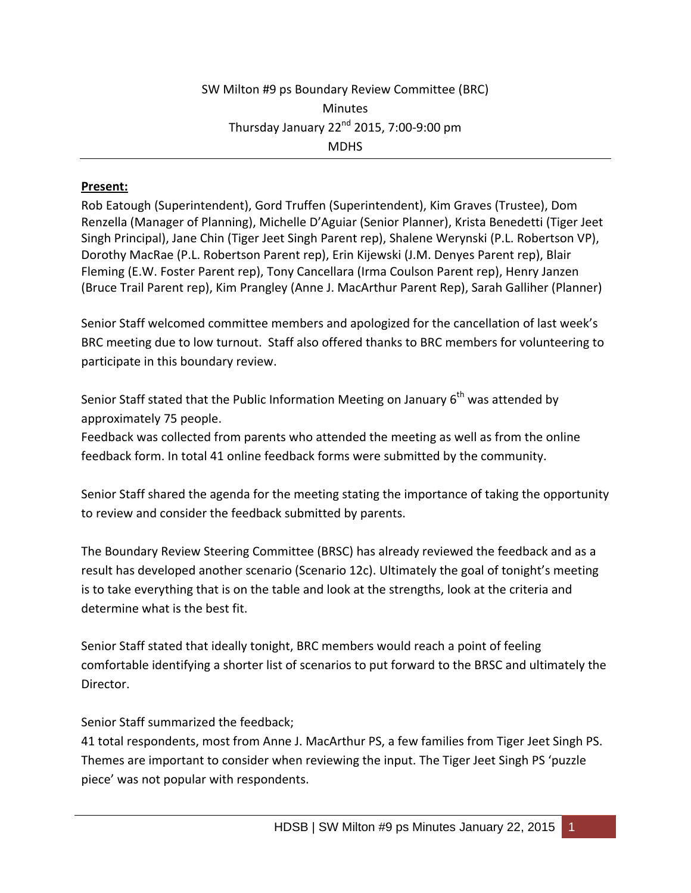## **Present:**

Rob Eatough (Superintendent), Gord Truffen (Superintendent), Kim Graves (Trustee), Dom Renzella (Manager of Planning), Michelle D'Aguiar (Senior Planner), Krista Benedetti (Tiger Jeet Singh Principal), Jane Chin (Tiger Jeet Singh Parent rep), Shalene Werynski (P.L. Robertson VP), Dorothy MacRae (P.L. Robertson Parent rep), Erin Kijewski (J.M. Denyes Parent rep), Blair Fleming (E.W. Foster Parent rep), Tony Cancellara (Irma Coulson Parent rep), Henry Janzen (Bruce Trail Parent rep), Kim Prangley (Anne J. MacArthur Parent Rep), Sarah Galliher (Planner)

Senior Staff welcomed committee members and apologized for the cancellation of last week's BRC meeting due to low turnout. Staff also offered thanks to BRC members for volunteering to participate in this boundary review.

Senior Staff stated that the Public Information Meeting on January  $6<sup>th</sup>$  was attended by approximately 75 people.

Feedback was collected from parents who attended the meeting as well as from the online feedback form. In total 41 online feedback forms were submitted by the community.

Senior Staff shared the agenda for the meeting stating the importance of taking the opportunity to review and consider the feedback submitted by parents.

The Boundary Review Steering Committee (BRSC) has already reviewed the feedback and as a result has developed another scenario (Scenario 12c). Ultimately the goal of tonight's meeting is to take everything that is on the table and look at the strengths, look at the criteria and determine what is the best fit.

Senior Staff stated that ideally tonight, BRC members would reach a point of feeling comfortable identifying a shorter list of scenarios to put forward to the BRSC and ultimately the Director.

Senior Staff summarized the feedback;

41 total respondents, most from Anne J. MacArthur PS, a few families from Tiger Jeet Singh PS. Themes are important to consider when reviewing the input. The Tiger Jeet Singh PS 'puzzle piece' was not popular with respondents.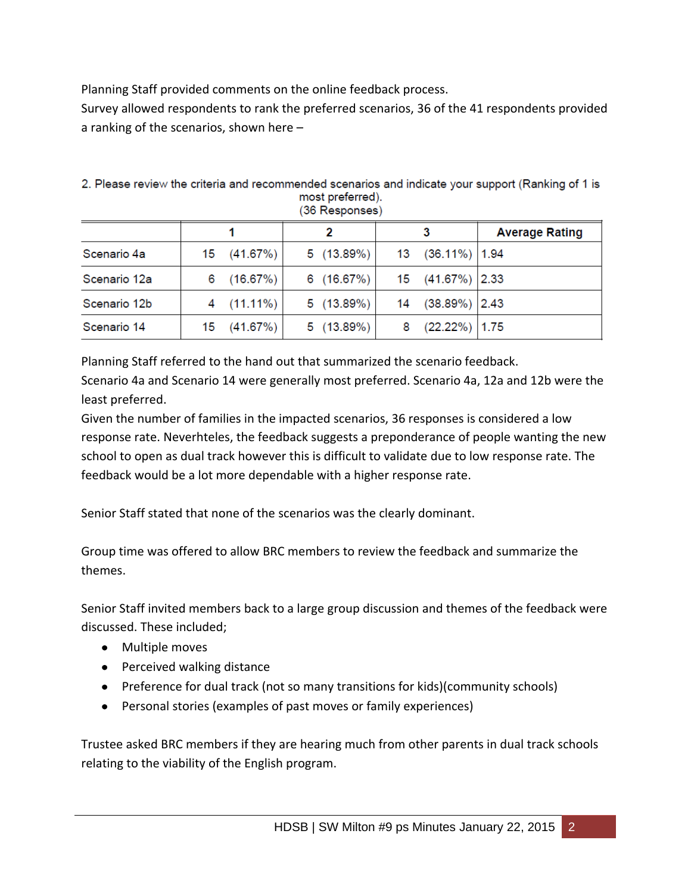Planning Staff provided comments on the online feedback process.

Survey allowed respondents to rank the preferred scenarios, 36 of the 41 respondents provided a ranking of the scenarios, shown here –

| ן סטפווטעפטרו טטן |    |             |  |           |    |                    |                       |
|-------------------|----|-------------|--|-----------|----|--------------------|-----------------------|
|                   |    |             |  |           |    |                    | <b>Average Rating</b> |
| Scenario 4a       | 15 | (41.67%)    |  | 5(13.89%) | 13 | $(36.11\%)$   1.94 |                       |
| Scenario 12a      | 6  | (16.67%)    |  | 6(16.67%) |    | 15 (41.67%) 2.33   |                       |
| Scenario 12b      |    | $(11.11\%)$ |  | 5(13.89%) | 14 | $(38.89\%)$ 2.43   |                       |
| Scenario 14       | 15 | (41.67%)    |  | 5(13.89%) | 8  | $(22.22\%)$ 1.75   |                       |

2. Please review the criteria and recommended scenarios and indicate your support (Ranking of 1 is most preferred).  $(36$  Pernances)

Planning Staff referred to the hand out that summarized the scenario feedback.

Scenario 4a and Scenario 14 were generally most preferred. Scenario 4a, 12a and 12b were the least preferred.

Given the number of families in the impacted scenarios, 36 responses is considered a low response rate. Neverhteles, the feedback suggests a preponderance of people wanting the new school to open as dual track however this is difficult to validate due to low response rate. The feedback would be a lot more dependable with a higher response rate.

Senior Staff stated that none of the scenarios was the clearly dominant.

Group time was offered to allow BRC members to review the feedback and summarize the themes.

Senior Staff invited members back to a large group discussion and themes of the feedback were discussed. These included;

- Multiple moves
- Perceived walking distance
- Preference for dual track (not so many transitions for kids)(community schools)
- Personal stories (examples of past moves or family experiences)

Trustee asked BRC members if they are hearing much from other parents in dual track schools relating to the viability of the English program.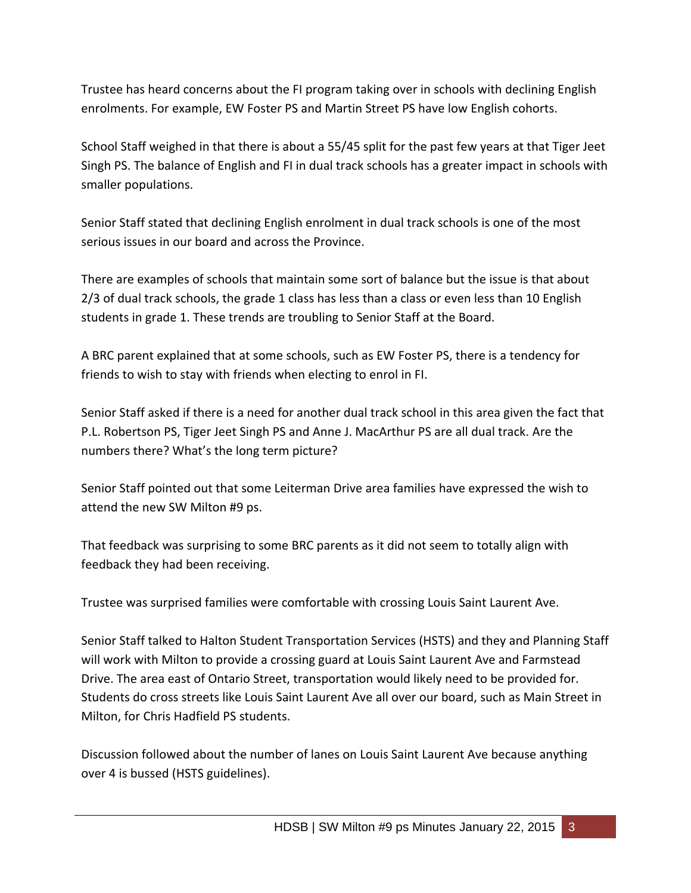Trustee has heard concerns about the FI program taking over in schools with declining English enrolments. For example, EW Foster PS and Martin Street PS have low English cohorts.

School Staff weighed in that there is about a 55/45 split for the past few years at that Tiger Jeet Singh PS. The balance of English and FI in dual track schools has a greater impact in schools with smaller populations.

Senior Staff stated that declining English enrolment in dual track schools is one of the most serious issues in our board and across the Province.

There are examples of schools that maintain some sort of balance but the issue is that about 2/3 of dual track schools, the grade 1 class has less than a class or even less than 10 English students in grade 1. These trends are troubling to Senior Staff at the Board.

A BRC parent explained that at some schools, such as EW Foster PS, there is a tendency for friends to wish to stay with friends when electing to enrol in FI.

Senior Staff asked if there is a need for another dual track school in this area given the fact that P.L. Robertson PS, Tiger Jeet Singh PS and Anne J. MacArthur PS are all dual track. Are the numbers there? What's the long term picture?

Senior Staff pointed out that some Leiterman Drive area families have expressed the wish to attend the new SW Milton #9 ps.

That feedback was surprising to some BRC parents as it did not seem to totally align with feedback they had been receiving.

Trustee was surprised families were comfortable with crossing Louis Saint Laurent Ave.

Senior Staff talked to Halton Student Transportation Services (HSTS) and they and Planning Staff will work with Milton to provide a crossing guard at Louis Saint Laurent Ave and Farmstead Drive. The area east of Ontario Street, transportation would likely need to be provided for. Students do cross streets like Louis Saint Laurent Ave all over our board, such as Main Street in Milton, for Chris Hadfield PS students.

Discussion followed about the number of lanes on Louis Saint Laurent Ave because anything over 4 is bussed (HSTS guidelines).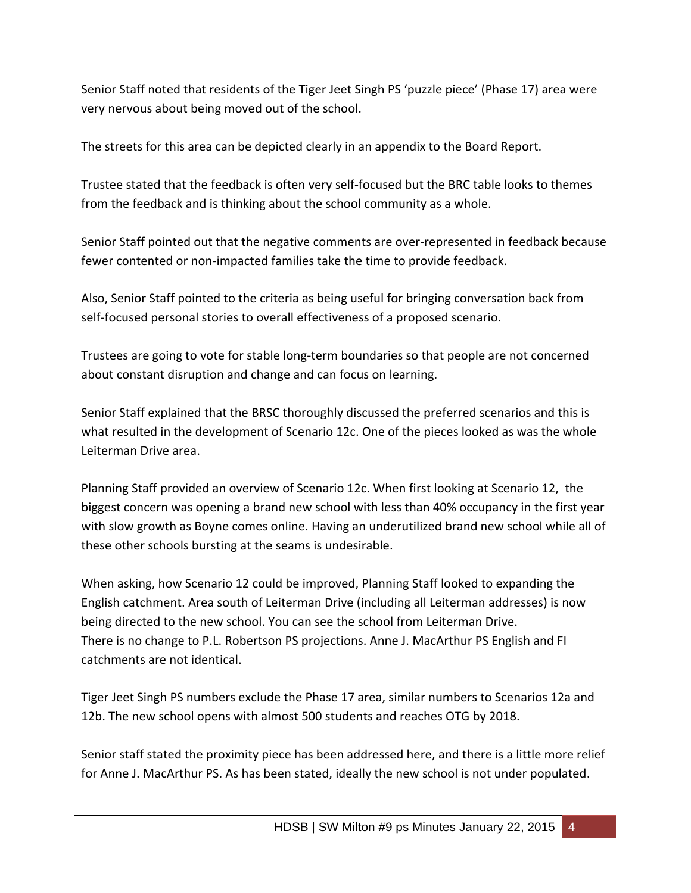Senior Staff noted that residents of the Tiger Jeet Singh PS 'puzzle piece' (Phase 17) area were very nervous about being moved out of the school.

The streets for this area can be depicted clearly in an appendix to the Board Report.

Trustee stated that the feedback is often very self-focused but the BRC table looks to themes from the feedback and is thinking about the school community as a whole.

Senior Staff pointed out that the negative comments are over-represented in feedback because fewer contented or non-impacted families take the time to provide feedback.

Also, Senior Staff pointed to the criteria as being useful for bringing conversation back from self-focused personal stories to overall effectiveness of a proposed scenario.

Trustees are going to vote for stable long-term boundaries so that people are not concerned about constant disruption and change and can focus on learning.

Senior Staff explained that the BRSC thoroughly discussed the preferred scenarios and this is what resulted in the development of Scenario 12c. One of the pieces looked as was the whole Leiterman Drive area.

Planning Staff provided an overview of Scenario 12c. When first looking at Scenario 12, the biggest concern was opening a brand new school with less than 40% occupancy in the first year with slow growth as Boyne comes online. Having an underutilized brand new school while all of these other schools bursting at the seams is undesirable.

When asking, how Scenario 12 could be improved, Planning Staff looked to expanding the English catchment. Area south of Leiterman Drive (including all Leiterman addresses) is now being directed to the new school. You can see the school from Leiterman Drive. There is no change to P.L. Robertson PS projections. Anne J. MacArthur PS English and FI catchments are not identical.

Tiger Jeet Singh PS numbers exclude the Phase 17 area, similar numbers to Scenarios 12a and 12b. The new school opens with almost 500 students and reaches OTG by 2018.

Senior staff stated the proximity piece has been addressed here, and there is a little more relief for Anne J. MacArthur PS. As has been stated, ideally the new school is not under populated.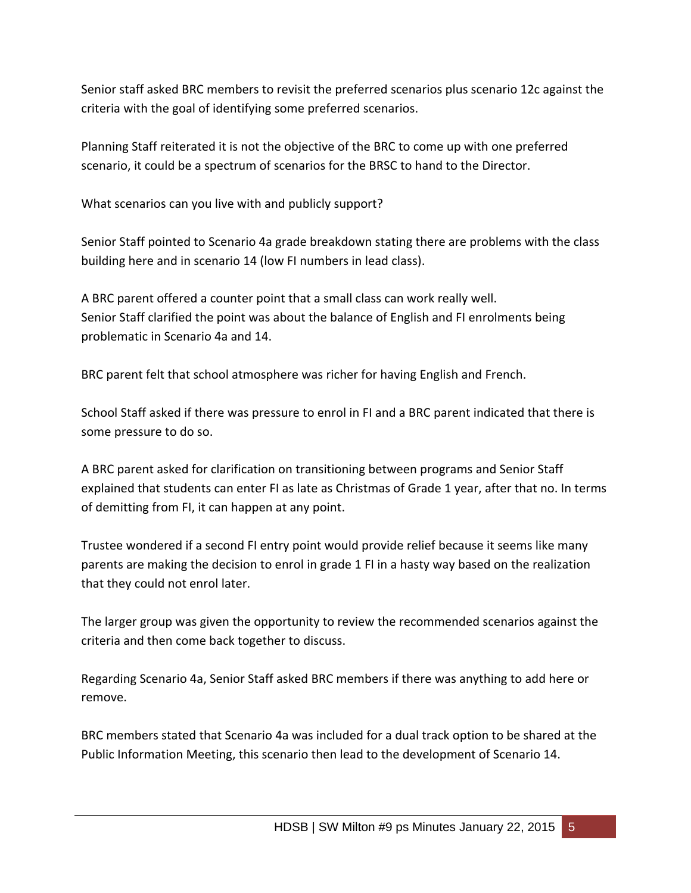Senior staff asked BRC members to revisit the preferred scenarios plus scenario 12c against the criteria with the goal of identifying some preferred scenarios.

Planning Staff reiterated it is not the objective of the BRC to come up with one preferred scenario, it could be a spectrum of scenarios for the BRSC to hand to the Director.

What scenarios can you live with and publicly support?

Senior Staff pointed to Scenario 4a grade breakdown stating there are problems with the class building here and in scenario 14 (low FI numbers in lead class).

A BRC parent offered a counter point that a small class can work really well. Senior Staff clarified the point was about the balance of English and FI enrolments being problematic in Scenario 4a and 14.

BRC parent felt that school atmosphere was richer for having English and French.

School Staff asked if there was pressure to enrol in FI and a BRC parent indicated that there is some pressure to do so.

A BRC parent asked for clarification on transitioning between programs and Senior Staff explained that students can enter FI as late as Christmas of Grade 1 year, after that no. In terms of demitting from FI, it can happen at any point.

Trustee wondered if a second FI entry point would provide relief because it seems like many parents are making the decision to enrol in grade 1 FI in a hasty way based on the realization that they could not enrol later.

The larger group was given the opportunity to review the recommended scenarios against the criteria and then come back together to discuss.

Regarding Scenario 4a, Senior Staff asked BRC members if there was anything to add here or remove.

BRC members stated that Scenario 4a was included for a dual track option to be shared at the Public Information Meeting, this scenario then lead to the development of Scenario 14.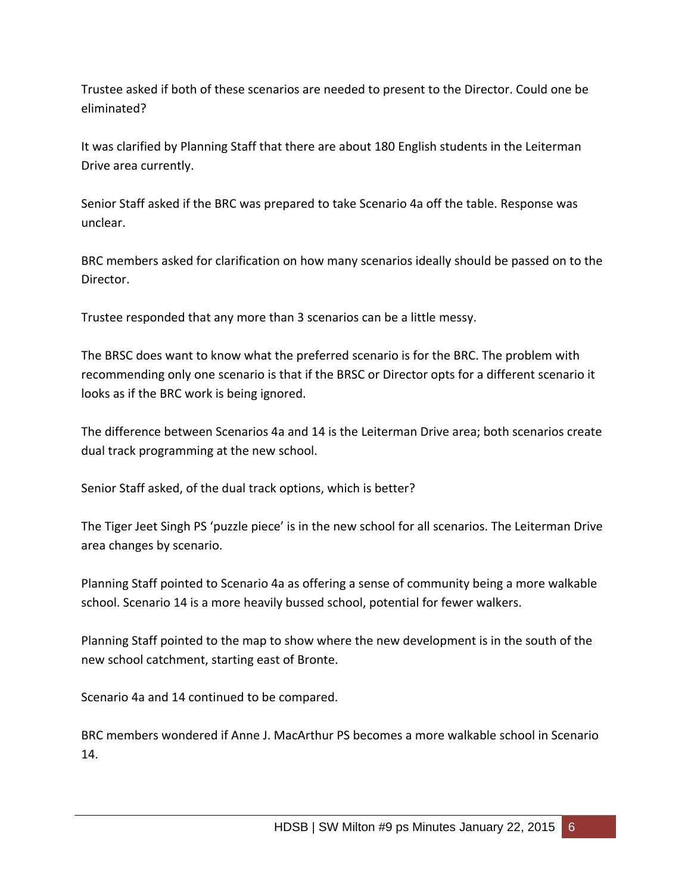Trustee asked if both of these scenarios are needed to present to the Director. Could one be eliminated?

It was clarified by Planning Staff that there are about 180 English students in the Leiterman Drive area currently.

Senior Staff asked if the BRC was prepared to take Scenario 4a off the table. Response was unclear.

BRC members asked for clarification on how many scenarios ideally should be passed on to the Director.

Trustee responded that any more than 3 scenarios can be a little messy.

The BRSC does want to know what the preferred scenario is for the BRC. The problem with recommending only one scenario is that if the BRSC or Director opts for a different scenario it looks as if the BRC work is being ignored.

The difference between Scenarios 4a and 14 is the Leiterman Drive area; both scenarios create dual track programming at the new school.

Senior Staff asked, of the dual track options, which is better?

The Tiger Jeet Singh PS 'puzzle piece' is in the new school for all scenarios. The Leiterman Drive area changes by scenario.

Planning Staff pointed to Scenario 4a as offering a sense of community being a more walkable school. Scenario 14 is a more heavily bussed school, potential for fewer walkers.

Planning Staff pointed to the map to show where the new development is in the south of the new school catchment, starting east of Bronte.

Scenario 4a and 14 continued to be compared.

BRC members wondered if Anne J. MacArthur PS becomes a more walkable school in Scenario 14.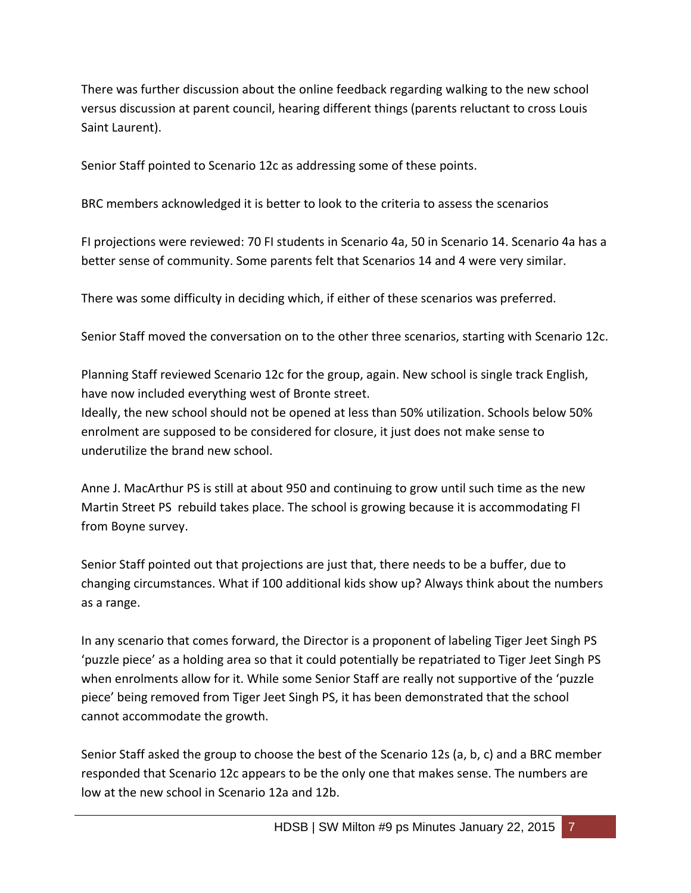There was further discussion about the online feedback regarding walking to the new school versus discussion at parent council, hearing different things (parents reluctant to cross Louis Saint Laurent).

Senior Staff pointed to Scenario 12c as addressing some of these points.

BRC members acknowledged it is better to look to the criteria to assess the scenarios

FI projections were reviewed: 70 FI students in Scenario 4a, 50 in Scenario 14. Scenario 4a has a better sense of community. Some parents felt that Scenarios 14 and 4 were very similar.

There was some difficulty in deciding which, if either of these scenarios was preferred.

Senior Staff moved the conversation on to the other three scenarios, starting with Scenario 12c.

Planning Staff reviewed Scenario 12c for the group, again. New school is single track English, have now included everything west of Bronte street.

Ideally, the new school should not be opened at less than 50% utilization. Schools below 50% enrolment are supposed to be considered for closure, it just does not make sense to underutilize the brand new school.

Anne J. MacArthur PS is still at about 950 and continuing to grow until such time as the new Martin Street PS rebuild takes place. The school is growing because it is accommodating FI from Boyne survey.

Senior Staff pointed out that projections are just that, there needs to be a buffer, due to changing circumstances. What if 100 additional kids show up? Always think about the numbers as a range.

In any scenario that comes forward, the Director is a proponent of labeling Tiger Jeet Singh PS 'puzzle piece' as a holding area so that it could potentially be repatriated to Tiger Jeet Singh PS when enrolments allow for it. While some Senior Staff are really not supportive of the 'puzzle piece' being removed from Tiger Jeet Singh PS, it has been demonstrated that the school cannot accommodate the growth.

Senior Staff asked the group to choose the best of the Scenario 12s (a, b, c) and a BRC member responded that Scenario 12c appears to be the only one that makes sense. The numbers are low at the new school in Scenario 12a and 12b.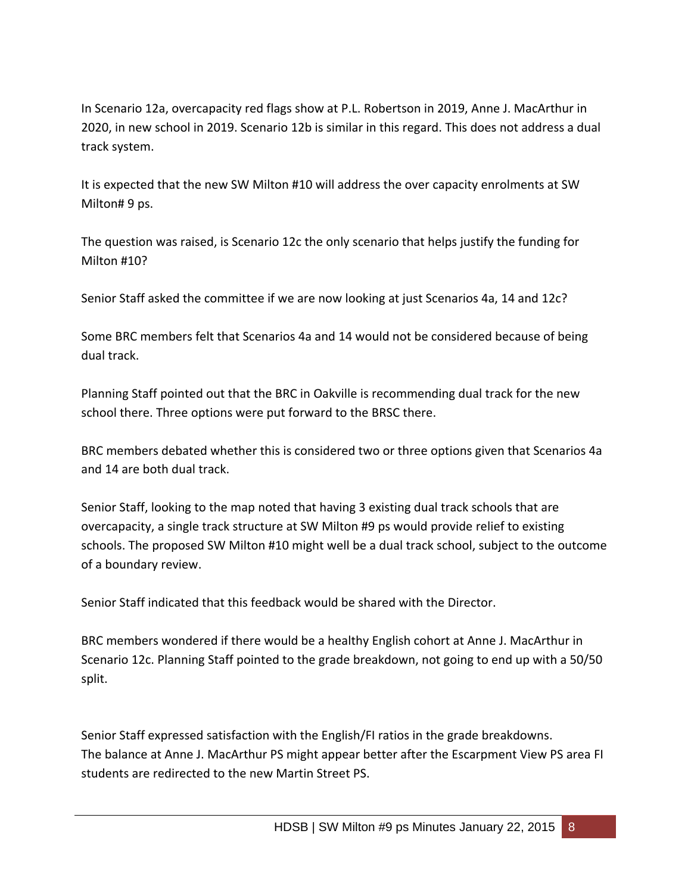In Scenario 12a, overcapacity red flags show at P.L. Robertson in 2019, Anne J. MacArthur in 2020, in new school in 2019. Scenario 12b is similar in this regard. This does not address a dual track system.

It is expected that the new SW Milton #10 will address the over capacity enrolments at SW Milton# 9 ps.

The question was raised, is Scenario 12c the only scenario that helps justify the funding for Milton #10?

Senior Staff asked the committee if we are now looking at just Scenarios 4a, 14 and 12c?

Some BRC members felt that Scenarios 4a and 14 would not be considered because of being dual track.

Planning Staff pointed out that the BRC in Oakville is recommending dual track for the new school there. Three options were put forward to the BRSC there.

BRC members debated whether this is considered two or three options given that Scenarios 4a and 14 are both dual track.

Senior Staff, looking to the map noted that having 3 existing dual track schools that are overcapacity, a single track structure at SW Milton #9 ps would provide relief to existing schools. The proposed SW Milton #10 might well be a dual track school, subject to the outcome of a boundary review.

Senior Staff indicated that this feedback would be shared with the Director.

BRC members wondered if there would be a healthy English cohort at Anne J. MacArthur in Scenario 12c. Planning Staff pointed to the grade breakdown, not going to end up with a 50/50 split.

Senior Staff expressed satisfaction with the English/FI ratios in the grade breakdowns. The balance at Anne J. MacArthur PS might appear better after the Escarpment View PS area FI students are redirected to the new Martin Street PS.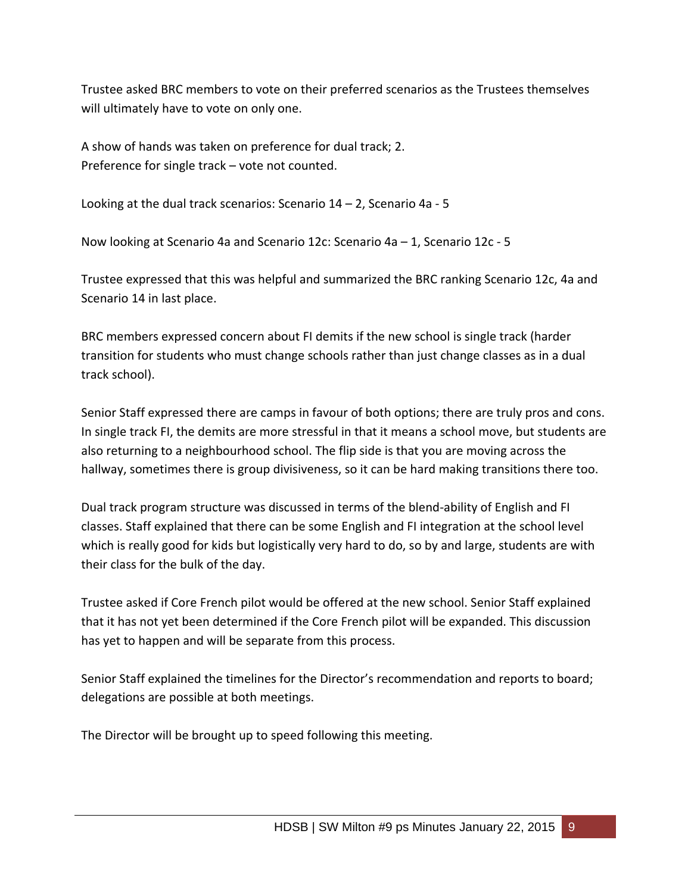Trustee asked BRC members to vote on their preferred scenarios as the Trustees themselves will ultimately have to vote on only one.

A show of hands was taken on preference for dual track; 2. Preference for single track – vote not counted.

Looking at the dual track scenarios: Scenario 14 – 2, Scenario 4a - 5

Now looking at Scenario 4a and Scenario 12c: Scenario 4a – 1, Scenario 12c - 5

Trustee expressed that this was helpful and summarized the BRC ranking Scenario 12c, 4a and Scenario 14 in last place.

BRC members expressed concern about FI demits if the new school is single track (harder transition for students who must change schools rather than just change classes as in a dual track school).

Senior Staff expressed there are camps in favour of both options; there are truly pros and cons. In single track FI, the demits are more stressful in that it means a school move, but students are also returning to a neighbourhood school. The flip side is that you are moving across the hallway, sometimes there is group divisiveness, so it can be hard making transitions there too.

Dual track program structure was discussed in terms of the blend-ability of English and FI classes. Staff explained that there can be some English and FI integration at the school level which is really good for kids but logistically very hard to do, so by and large, students are with their class for the bulk of the day.

Trustee asked if Core French pilot would be offered at the new school. Senior Staff explained that it has not yet been determined if the Core French pilot will be expanded. This discussion has yet to happen and will be separate from this process.

Senior Staff explained the timelines for the Director's recommendation and reports to board; delegations are possible at both meetings.

The Director will be brought up to speed following this meeting.